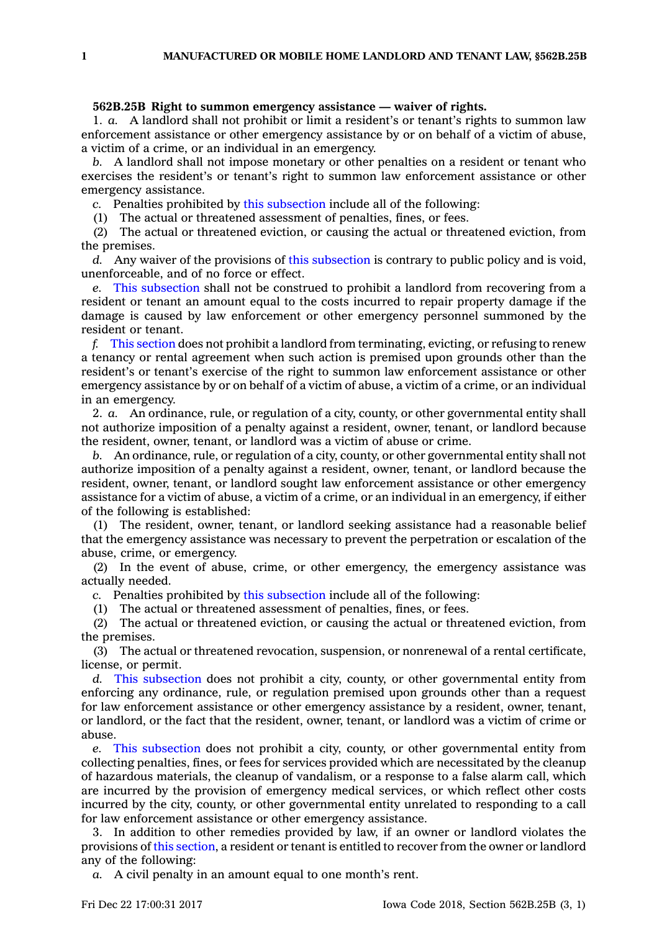## **562B.25B Right to summon emergency assistance — waiver of rights.**

1. *a.* A landlord shall not prohibit or limit <sup>a</sup> resident's or tenant's rights to summon law enforcement assistance or other emergency assistance by or on behalf of <sup>a</sup> victim of abuse, <sup>a</sup> victim of <sup>a</sup> crime, or an individual in an emergency.

*b.* A landlord shall not impose monetary or other penalties on <sup>a</sup> resident or tenant who exercises the resident's or tenant's right to summon law enforcement assistance or other emergency assistance.

*c.* Penalties prohibited by this [subsection](https://www.legis.iowa.gov/docs/code/562B.25B.pdf) include all of the following:

(1) The actual or threatened assessment of penalties, fines, or fees.

(2) The actual or threatened eviction, or causing the actual or threatened eviction, from the premises.

*d.* Any waiver of the provisions of this [subsection](https://www.legis.iowa.gov/docs/code/562B.25B.pdf) is contrary to public policy and is void, unenforceable, and of no force or effect.

*e.* This [subsection](https://www.legis.iowa.gov/docs/code/562B.25B.pdf) shall not be construed to prohibit <sup>a</sup> landlord from recovering from <sup>a</sup> resident or tenant an amount equal to the costs incurred to repair property damage if the damage is caused by law enforcement or other emergency personnel summoned by the resident or tenant.

*f.* This [section](https://www.legis.iowa.gov/docs/code/562B.25B.pdf) does not prohibit <sup>a</sup> landlord from terminating, evicting, or refusing to renew <sup>a</sup> tenancy or rental agreement when such action is premised upon grounds other than the resident's or tenant's exercise of the right to summon law enforcement assistance or other emergency assistance by or on behalf of <sup>a</sup> victim of abuse, <sup>a</sup> victim of <sup>a</sup> crime, or an individual in an emergency.

2. *a.* An ordinance, rule, or regulation of <sup>a</sup> city, county, or other governmental entity shall not authorize imposition of <sup>a</sup> penalty against <sup>a</sup> resident, owner, tenant, or landlord because the resident, owner, tenant, or landlord was <sup>a</sup> victim of abuse or crime.

*b.* An ordinance, rule, or regulation of <sup>a</sup> city, county, or other governmental entity shall not authorize imposition of <sup>a</sup> penalty against <sup>a</sup> resident, owner, tenant, or landlord because the resident, owner, tenant, or landlord sought law enforcement assistance or other emergency assistance for <sup>a</sup> victim of abuse, <sup>a</sup> victim of <sup>a</sup> crime, or an individual in an emergency, if either of the following is established:

(1) The resident, owner, tenant, or landlord seeking assistance had <sup>a</sup> reasonable belief that the emergency assistance was necessary to prevent the perpetration or escalation of the abuse, crime, or emergency.

(2) In the event of abuse, crime, or other emergency, the emergency assistance was actually needed.

*c.* Penalties prohibited by this [subsection](https://www.legis.iowa.gov/docs/code/562B.25B.pdf) include all of the following:

(1) The actual or threatened assessment of penalties, fines, or fees.

(2) The actual or threatened eviction, or causing the actual or threatened eviction, from the premises.

(3) The actual or threatened revocation, suspension, or nonrenewal of <sup>a</sup> rental certificate, license, or permit.

*d.* This [subsection](https://www.legis.iowa.gov/docs/code/562B.25B.pdf) does not prohibit <sup>a</sup> city, county, or other governmental entity from enforcing any ordinance, rule, or regulation premised upon grounds other than <sup>a</sup> request for law enforcement assistance or other emergency assistance by <sup>a</sup> resident, owner, tenant, or landlord, or the fact that the resident, owner, tenant, or landlord was <sup>a</sup> victim of crime or abuse.

*e.* This [subsection](https://www.legis.iowa.gov/docs/code/562B.25B.pdf) does not prohibit <sup>a</sup> city, county, or other governmental entity from collecting penalties, fines, or fees for services provided which are necessitated by the cleanup of hazardous materials, the cleanup of vandalism, or <sup>a</sup> response to <sup>a</sup> false alarm call, which are incurred by the provision of emergency medical services, or which reflect other costs incurred by the city, county, or other governmental entity unrelated to responding to <sup>a</sup> call for law enforcement assistance or other emergency assistance.

3. In addition to other remedies provided by law, if an owner or landlord violates the provisions of this [section](https://www.legis.iowa.gov/docs/code/562B.25B.pdf), <sup>a</sup> resident or tenant is entitled to recover from the owner or landlord any of the following:

*a.* A civil penalty in an amount equal to one month's rent.